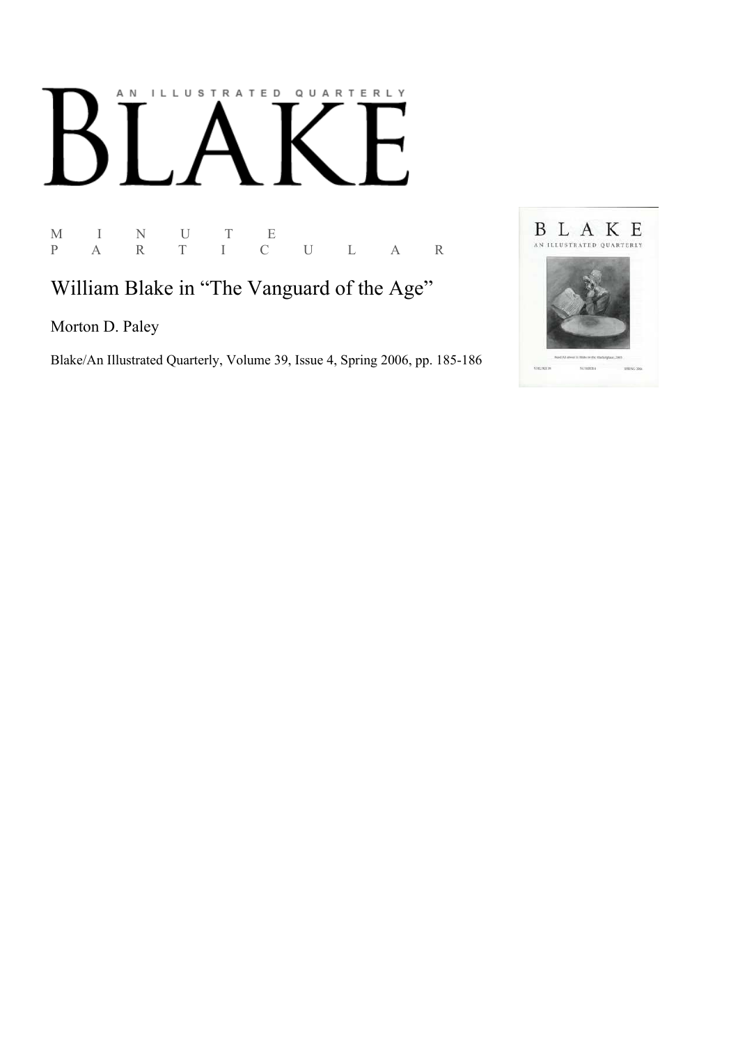## AN ILLUSTRATED QUARTERLY

M I N U T E P A R T I C U L A R

William Blake in "The Vanguard of the Age"

Morton D. Paley

Blake/An Illustrated Quarterly, Volume 39, Issue 4, Spring 2006, pp. 185-186

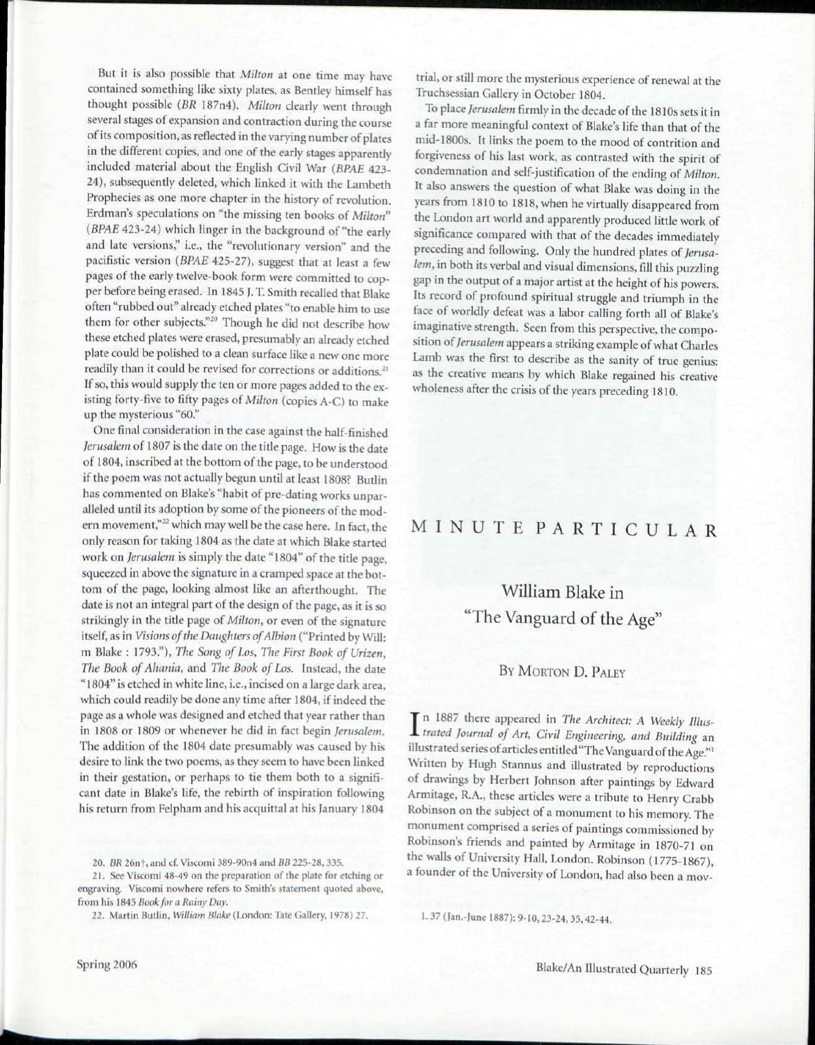But it is also possible that *Milton* at one time may have contained something like sixty plates, as Bentley himself has thought possible *(BR* 187n4). *Milton* clearly went through several stages of expansion and contraction during the course of its composition, as reflected in the varying number of plates in the different copies, and one of the early stages apparently included material about the English Civil War *(BPAE* 423- 24), subsequently deleted, which linked it with the Lambeth Prophecies as one more chapter in the history of revolution. Erdman's speculations on "the missing ten books of *Milton" (BPAE* 423-24) which linger in the background of "the early and late versions," i.e., the "revolutionary version" and the pacifistic version *(BPAE* 425-27), suggest that at least a few pages of the early twelve-book form were committed to copper before being erased. In 1845 J. T. Smith recalled that Blake often "rubbed out" already etched plates "to enable him to use them for other subjects."<sup>20</sup> Though he did not describe how these etched plates were erased, presumably an already etched plate could be polished to a clean surface like a new one more readily than it could be revised for corrections or additions.<sup>21</sup> If so, this would supply the ten or more pages added to the existing forty-five to fifty pages of *Milton* (copies A-C) to make up the mysterious "60."

One final consideration in the case against the half-finished *Jerusalem* of 1807 is the date on the title page. How is the date of 1804, inscribed at the bottom of the page, to be understood if the poem was not actually begun until at least 1808? Butlin has commented on Blake's "habit of pre-dating works unparalleled until its adoption by some of the pioneers of the modern movement,"<sup>22</sup> which may well be the case here. In fact, the only reason for taking 1804 as the date at which Blake started work on *Jerusalem* is simply the date "1804" of the title page, squeezed in above the signature in a cramped space at the bottom of the page, looking almost like an afterthought. The date is not an integral part of the design of the page, as it is so strikingly in the title page of *Milton,* or even of the signature itself, as in *Visions of the Daughters of Albion* ("Printed by Will: m Blake : 1793"), *The Song of Los, The First Book of Urizen, The Book of Ahania,* and *The Book of Los.* Instead, the date "1804" is etched in white line, i.e., incised on a large dark area, which could readily be done any time after 1804, if indeed the page as a whole was designed and etched that year rather than in 1808 or 1809 or whenever he did in fact begin *Jerusalem.*  The addition of the 1804 date presumably was caused by his desire to link the two poems, as they seem to have been linked in their gestation, or perhaps to tie them both to a significant date in Blake's life, the rebirth of inspiration following his return from Felpham and his acquittal at his January 1804

20. *BR* 26nf, and cf. Viscomi 389-90n4 and *BB* 225-28, 335.

21. Sec Viscomi 48-49 on the preparation of the plate for etching or engraving. Viscomi nowhere refers to Smith's statement quoted above, from his 1845 *Book for a Rainy Day.* 

22. Martin Butlin, *William Blake* (London: Tate Gallery, 1978) 27.

trial, or still more the mysterious experience of renewal at the Truchsessian Gallery in October 1804.

To place *Jerusalem* firmly in the decade of the 1810s sets it in a far more meaningful context of Blake's life than that of the mid-1800s. It links the poem to the mood of contrition and forgiveness of his last work, as contrasted with the spirit of condemnation and self-justification of the ending of *Milton.*  It also answers the question of what Blake was doing in the years from 1810 to 1818, when he virtually disappeared from the London art world and apparently produced little work of significance compared with that of the decades immediately preceding and following. Only the hundred plates of *Jerusalem,* in both its verbal and visual dimensions, fill this puzzling gap in the output of a major artist at the height of his powers. Its record of profound spiritual struggle and triumph in the face of worldly defeat was a labor calling forth all of Blake's imaginative strength. Seen from this perspective, the composition *of Jerusalem* appears a striking example of what Charles Lamb was the first to describe as the sanity of true genius: as the creative means by which Blake regained his creative wholeness after the crisis of the years preceding 1810.

## MINUT E PARTICULA R

## William Blake in "The Vanguard of the Age"

## BY MORTON D. PALEY

In 1887 there appeared in *The Architect: A Weekly Illus-*<br>*trated Journal of Art, Civil Engineering, and Building* an *trated Journal of Art, Civil Engineering, and Building* an illustrated series of articles entitled "The Vanguard of the Age."' Written by Hugh Stannus and illustrated by reproductions of drawings by Herbert Johnson after paintings by Edward Armitage, R.A., these articles were a tribute to Henry Crabb Robinson on the subject of a monument to his memory. The monument comprised a series of paintings commissioned by Robinson's friends and painted by Armitage in 1870-71 on the walls of University Hall, London. Robinson (1775-1867), a founder of the University of London, had also been a mov-

1. 37 (Jan.-Iune 1887): 9-10,23-24, 35,42-44.